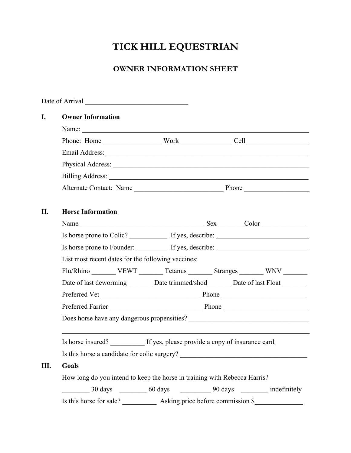## **TICK HILL EQUESTRIAN**

## **OWNER INFORMATION SHEET**

| I.  | <b>Owner Information</b>                                                  |                               |                                                                                                                                                                                                                                |
|-----|---------------------------------------------------------------------------|-------------------------------|--------------------------------------------------------------------------------------------------------------------------------------------------------------------------------------------------------------------------------|
|     | Name:                                                                     |                               |                                                                                                                                                                                                                                |
|     |                                                                           |                               |                                                                                                                                                                                                                                |
|     |                                                                           |                               |                                                                                                                                                                                                                                |
|     |                                                                           |                               |                                                                                                                                                                                                                                |
|     |                                                                           |                               |                                                                                                                                                                                                                                |
|     |                                                                           |                               |                                                                                                                                                                                                                                |
| II. | <b>Horse Information</b>                                                  |                               |                                                                                                                                                                                                                                |
|     |                                                                           |                               |                                                                                                                                                                                                                                |
|     |                                                                           |                               |                                                                                                                                                                                                                                |
|     |                                                                           |                               | Is horse prone to Founder: If yes, describe: 15 and 16 and 16 and 16 and 16 and 16 and 16 and 16 and 16 and 16 and 16 and 16 and 16 and 16 and 16 and 16 and 16 and 16 and 16 and 16 and 16 and 16 and 16 and 16 and 16 and 16 |
|     | List most recent dates for the following vaccines:                        |                               |                                                                                                                                                                                                                                |
|     |                                                                           |                               | Flu/Rhino ________ VEWT _______ Tetanus _______ Stranges _______ WNV _______                                                                                                                                                   |
|     |                                                                           |                               | Date of last deworming ________ Date trimmed/shod_________ Date of last Float ________                                                                                                                                         |
|     |                                                                           |                               |                                                                                                                                                                                                                                |
|     |                                                                           | Preferred Farrier Phone Phone |                                                                                                                                                                                                                                |
|     |                                                                           |                               |                                                                                                                                                                                                                                |
|     | Is horse insured? If yes, please provide a copy of insurance card.        |                               |                                                                                                                                                                                                                                |
|     | Is this horse a candidate for colic surgery?                              |                               |                                                                                                                                                                                                                                |
| Ш.  | Goals                                                                     |                               |                                                                                                                                                                                                                                |
|     | How long do you intend to keep the horse in training with Rebecca Harris? |                               |                                                                                                                                                                                                                                |
|     |                                                                           |                               | 30 days ___________ 60 days ______________ 90 days ____________ indefinitely                                                                                                                                                   |
|     |                                                                           |                               |                                                                                                                                                                                                                                |